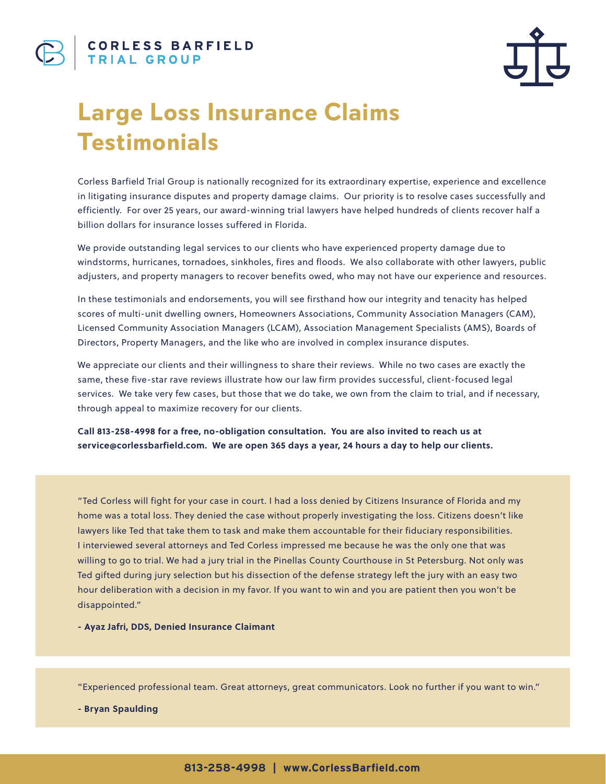

## **Large Loss Insurance Claims Testimonials**

Corless Barfield Trial Group is nationally recognized for its extraordinary expertise, experience and excellence in litigating insurance disputes and property damage claims. Our priority is to resolve cases successfully and efficiently. For over 25 years, our award-winning trial lawyers have helped hundreds of clients recover half a billion dollars for insurance losses suffered in Florida.

We provide outstanding legal services to our clients who have experienced property damage due to windstorms, hurricanes, tornadoes, sinkholes, fires and floods. We also collaborate with other lawyers, public adjusters, and property managers to recover benefits owed, who may not have our experience and resources.

In these testimonials and endorsements, you will see firsthand how our integrity and tenacity has helped scores of multi-unit dwelling owners, Homeowners Associations, Community Association Managers (CAM), Licensed Community Association Managers (LCAM), Association Management Specialists (AMS), Boards of Directors, Property Managers, and the like who are involved in complex insurance disputes.

We appreciate our clients and their willingness to share their reviews. While no two cases are exactly the same, these five-star rave reviews illustrate how our law firm provides successful, client-focused legal services. We take very few cases, but those that we do take, we own from the claim to trial, and if necessary, through appeal to maximize recovery for our clients.

**Call 813-258-4998 for a free, no-obligation consultation. You are also invited to reach us at service@corlessbarfield.com. We are open 365 days a year, 24 hours a day to help our clients.** 

"Ted Corless will fight for your case in court. I had a loss denied by Citizens Insurance of Florida and my home was a total loss. They denied the case without properly investigating the loss. Citizens doesn't like lawyers like Ted that take them to task and make them accountable for their fiduciary responsibilities. I interviewed several attorneys and Ted Corless impressed me because he was the only one that was willing to go to trial. We had a jury trial in the Pinellas County Courthouse in St Petersburg. Not only was Ted gifted during jury selection but his dissection of the defense strategy left the jury with an easy two hour deliberation with a decision in my favor. If you want to win and you are patient then you won't be disappointed."

**- Ayaz Jafri, DDS, Denied Insurance Claimant**

"Experienced professional team. Great attorneys, great communicators. Look no further if you want to win."

**- Bryan Spaulding**